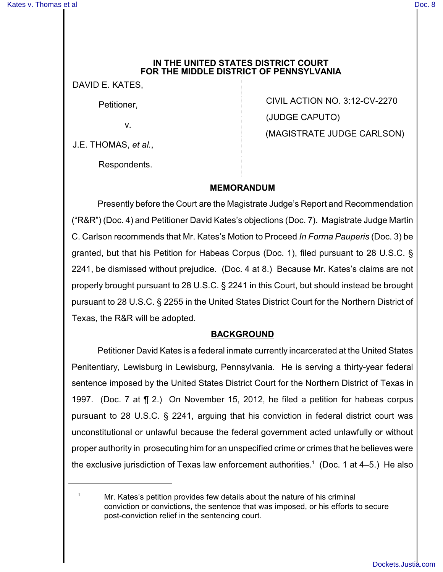### **IN THE UNITED STATES DISTRICT COURT FOR THE MIDDLE DISTRICT OF PENNSYLVANIA**

DAVID E. KATES,

Petitioner,

v.

J.E. THOMAS, *et al.*,

Respondents.

CIVIL ACTION NO. 3:12-CV-2270 (JUDGE CAPUTO) (MAGISTRATE JUDGE CARLSON)

# **MEMORANDUM**

Presently before the Court are the Magistrate Judge's Report and Recommendation ("R&R") (Doc. 4) and Petitioner David Kates's objections (Doc. 7). Magistrate Judge Martin C. Carlson recommends that Mr. Kates's Motion to Proceed *In Forma Pauperis* (Doc. 3) be granted, but that his Petition for Habeas Corpus (Doc. 1), filed pursuant to 28 U.S.C. § 2241, be dismissed without prejudice. (Doc. 4 at 8.) Because Mr. Kates's claims are not properly brought pursuant to 28 U.S.C. § 2241 in this Court, but should instead be brought pursuant to 28 U.S.C. § 2255 in the United States District Court for the Northern District of Texas, the R&R will be adopted.

# **BACKGROUND**

Petitioner David Kates is a federal inmate currently incarcerated at the United States Penitentiary, Lewisburg in Lewisburg, Pennsylvania. He is serving a thirty-year federal sentence imposed by the United States District Court for the Northern District of Texas in 1997. (Doc. 7 at ¶ 2.) On November 15, 2012, he filed a petition for habeas corpus pursuant to 28 U.S.C. § 2241, arguing that his conviction in federal district court was unconstitutional or unlawful because the federal government acted unlawfully or without proper authority in prosecuting him for an unspecified crime or crimes that he believes were the exclusive jurisdiction of Texas law enforcement authorities.<sup>1</sup> (Doc. 1 at  $4-5$ .) He also

 $1$  Mr. Kates's petition provides few details about the nature of his criminal conviction or convictions, the sentence that was imposed, or his efforts to secure post-conviction relief in the sentencing court.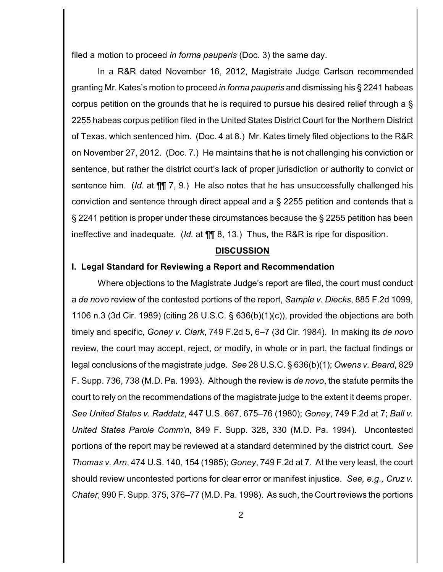filed a motion to proceed *in forma pauperis* (Doc. 3) the same day.

In a R&R dated November 16, 2012, Magistrate Judge Carlson recommended granting Mr. Kates's motion to proceed *in forma pauperis* and dismissing his § 2241 habeas corpus petition on the grounds that he is required to pursue his desired relief through a § 2255 habeas corpus petition filed in the United States District Court for the Northern District of Texas, which sentenced him. (Doc. 4 at 8.) Mr. Kates timely filed objections to the R&R on November 27, 2012. (Doc. 7.) He maintains that he is not challenging his conviction or sentence, but rather the district court's lack of proper jurisdiction or authority to convict or sentence him. (*Id.* at ¶¶ 7, 9.) He also notes that he has unsuccessfully challenged his conviction and sentence through direct appeal and a § 2255 petition and contends that a § 2241 petition is proper under these circumstances because the § 2255 petition has been ineffective and inadequate. (*Id.* at ¶¶ 8, 13.) Thus, the R&R is ripe for disposition.

#### **DISCUSSION**

## **I. Legal Standard for Reviewing a Report and Recommendation**

Where objections to the Magistrate Judge's report are filed, the court must conduct a *de novo* review of the contested portions of the report, *Sample v. Diecks*, 885 F.2d 1099, 1106 n.3 (3d Cir. 1989) (citing 28 U.S.C. § 636(b)(1)(c)), provided the objections are both timely and specific, *Goney v. Clark*, 749 F.2d 5, 6–7 (3d Cir. 1984). In making its *de novo* review, the court may accept, reject, or modify, in whole or in part, the factual findings or legal conclusions of the magistrate judge. *See* 28 U.S.C. § 636(b)(1); *Owens v. Beard*, 829 F. Supp. 736, 738 (M.D. Pa. 1993). Although the review is *de novo*, the statute permits the court to rely on the recommendations of the magistrate judge to the extent it deems proper. *See United States v. Raddatz*, 447 U.S. 667, 675–76 (1980); *Goney*, 749 F.2d at 7; *Ball v. United States Parole Comm'n*, 849 F. Supp. 328, 330 (M.D. Pa. 1994). Uncontested portions of the report may be reviewed at a standard determined by the district court. *See Thomas v. Arn*, 474 U.S. 140, 154 (1985); *Goney*, 749 F.2d at 7. At the very least, the court should review uncontested portions for clear error or manifest injustice. *See, e.g., Cruz v. Chater*, 990 F. Supp. 375, 376–77 (M.D. Pa. 1998). As such, the Court reviews the portions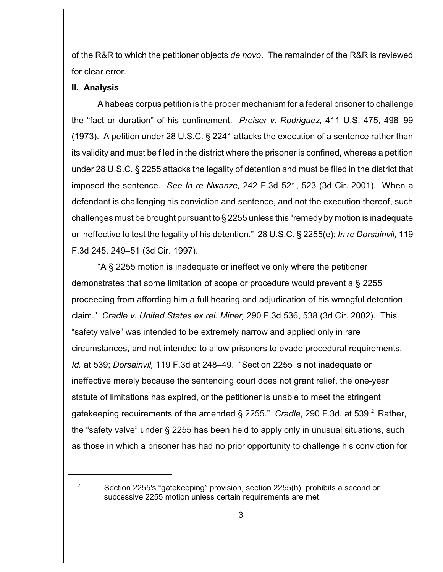of the R&R to which the petitioner objects *de novo*. The remainder of the R&R is reviewed for clear error.

### **II. Analysis**

A habeas corpus petition is the proper mechanism for a federal prisoner to challenge the "fact or duration" of his confinement. *Preiser v. Rodriguez,* 411 U.S. 475, 498–99 (1973). A petition under 28 U.S.C. § 2241 attacks the execution of a sentence rather than its validity and must be filed in the district where the prisoner is confined, whereas a petition under 28 U.S.C. § 2255 attacks the legality of detention and must be filed in the district that imposed the sentence. *See In re Nwanze,* 242 F.3d 521, 523 (3d Cir. 2001). When a defendant is challenging his conviction and sentence, and not the execution thereof, such challenges must be brought pursuant to § 2255 unless this "remedy by motion is inadequate or ineffective to test the legality of his detention." 28 U.S.C. § 2255(e); *In re Dorsainvil,* 119 F.3d 245, 249–51 (3d Cir. 1997).

"A § 2255 motion is inadequate or ineffective only where the petitioner demonstrates that some limitation of scope or procedure would prevent a § 2255 proceeding from affording him a full hearing and adjudication of his wrongful detention claim." *Cradle v. United States ex rel. Miner,* 290 F.3d 536, 538 (3d Cir. 2002). This "safety valve" was intended to be extremely narrow and applied only in rare circumstances, and not intended to allow prisoners to evade procedural requirements. *Id.* at 539; *Dorsainvil,* 119 F.3d at 248–49. "Section 2255 is not inadequate or ineffective merely because the sentencing court does not grant relief, the one-year statute of limitations has expired, or the petitioner is unable to meet the stringent gatekeeping requirements of the amended § 2255." *Cradle*, 290 F.3d*.* at 539. Rather, <sup>2</sup> the "safety valve" under § 2255 has been held to apply only in unusual situations, such as those in which a prisoner has had no prior opportunity to challenge his conviction for

 $\frac{2}{3}$  Section 2255's "gatekeeping" provision, section 2255(h), prohibits a second or successive 2255 motion unless certain requirements are met.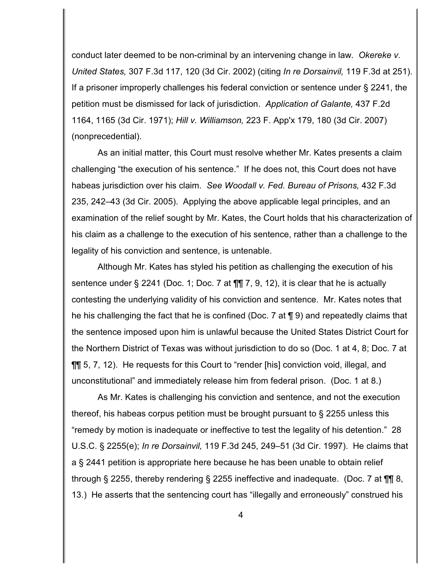conduct later deemed to be non-criminal by an intervening change in law. *Okereke v. United States,* 307 F.3d 117, 120 (3d Cir. 2002) (citing *In re Dorsainvil,* 119 F.3d at 251). If a prisoner improperly challenges his federal conviction or sentence under § 2241, the petition must be dismissed for lack of jurisdiction. *Application of Galante,* 437 F.2d 1164, 1165 (3d Cir. 1971); *Hill v. Williamson,* 223 F. App'x 179, 180 (3d Cir. 2007) (nonprecedential).

As an initial matter, this Court must resolve whether Mr. Kates presents a claim challenging "the execution of his sentence." If he does not, this Court does not have habeas jurisdiction over his claim. *See Woodall v. Fed. Bureau of Prisons,* 432 F.3d 235, 242–43 (3d Cir. 2005). Applying the above applicable legal principles, and an examination of the relief sought by Mr. Kates, the Court holds that his characterization of his claim as a challenge to the execution of his sentence, rather than a challenge to the legality of his conviction and sentence, is untenable.

Although Mr. Kates has styled his petition as challenging the execution of his sentence under § 2241 (Doc. 1; Doc. 7 at  $\P\P$  7, 9, 12), it is clear that he is actually contesting the underlying validity of his conviction and sentence. Mr. Kates notes that he his challenging the fact that he is confined (Doc. 7 at ¶ 9) and repeatedly claims that the sentence imposed upon him is unlawful because the United States District Court for the Northern District of Texas was without jurisdiction to do so (Doc. 1 at 4, 8; Doc. 7 at ¶¶ 5, 7, 12). He requests for this Court to "render [his] conviction void, illegal, and unconstitutional" and immediately release him from federal prison. (Doc. 1 at 8.)

As Mr. Kates is challenging his conviction and sentence, and not the execution thereof, his habeas corpus petition must be brought pursuant to § 2255 unless this "remedy by motion is inadequate or ineffective to test the legality of his detention." 28 U.S.C. § 2255(e); *In re Dorsainvil,* 119 F.3d 245, 249–51 (3d Cir. 1997). He claims that a § 2441 petition is appropriate here because he has been unable to obtain relief through § 2255, thereby rendering § 2255 ineffective and inadequate. (Doc. 7 at ¶¶ 8, 13.) He asserts that the sentencing court has "illegally and erroneously" construed his